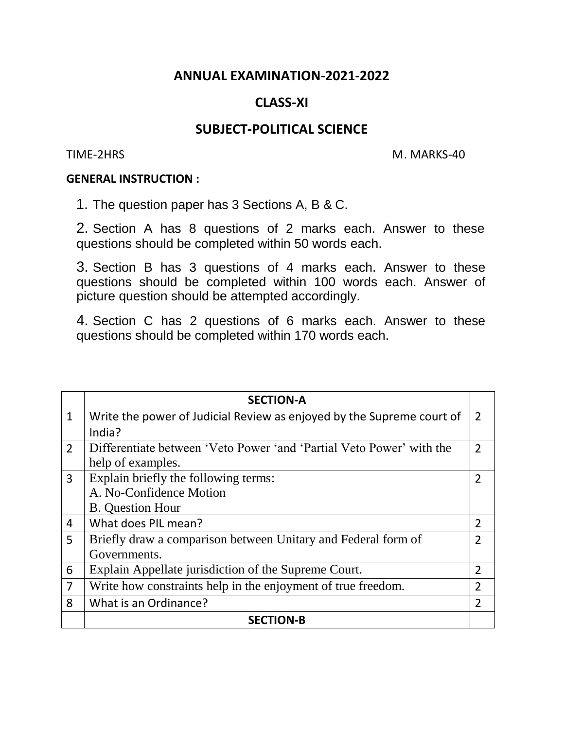## **ANNUAL EXAMINATION-2021-2022**

# **CLASS-XI**

## **SUBJECT-POLITICAL SCIENCE**

TIME-2HRS M. MARKS-40

#### **GENERAL INSTRUCTION :**

1. The question paper has 3 Sections A, B & C.

2. Section A has 8 questions of 2 marks each. Answer to these questions should be completed within 50 words each.

3. Section B has 3 questions of 4 marks each. Answer to these questions should be completed within 100 words each. Answer of picture question should be attempted accordingly.

4. Section C has 2 questions of 6 marks each. Answer to these questions should be completed within 170 words each.

|                | <b>SECTION-A</b>                                                      |                |
|----------------|-----------------------------------------------------------------------|----------------|
| $\mathbf{1}$   | Write the power of Judicial Review as enjoyed by the Supreme court of | 2              |
|                | India?                                                                |                |
| $\overline{2}$ | Differentiate between 'Veto Power' and 'Partial Veto Power' with the  | $\overline{2}$ |
|                | help of examples.                                                     |                |
| $\overline{3}$ | Explain briefly the following terms:                                  | $\overline{2}$ |
|                | A. No-Confidence Motion                                               |                |
|                | <b>B.</b> Question Hour                                               |                |
| 4              | What does PIL mean?                                                   | $\overline{2}$ |
| 5              | Briefly draw a comparison between Unitary and Federal form of         | $\overline{2}$ |
|                | Governments.                                                          |                |
| 6              | Explain Appellate jurisdiction of the Supreme Court.                  | $\overline{2}$ |
| $\overline{7}$ | Write how constraints help in the enjoyment of true freedom.          | $\overline{2}$ |
| 8              | What is an Ordinance?                                                 | $\overline{2}$ |
|                | <b>SECTION-B</b>                                                      |                |